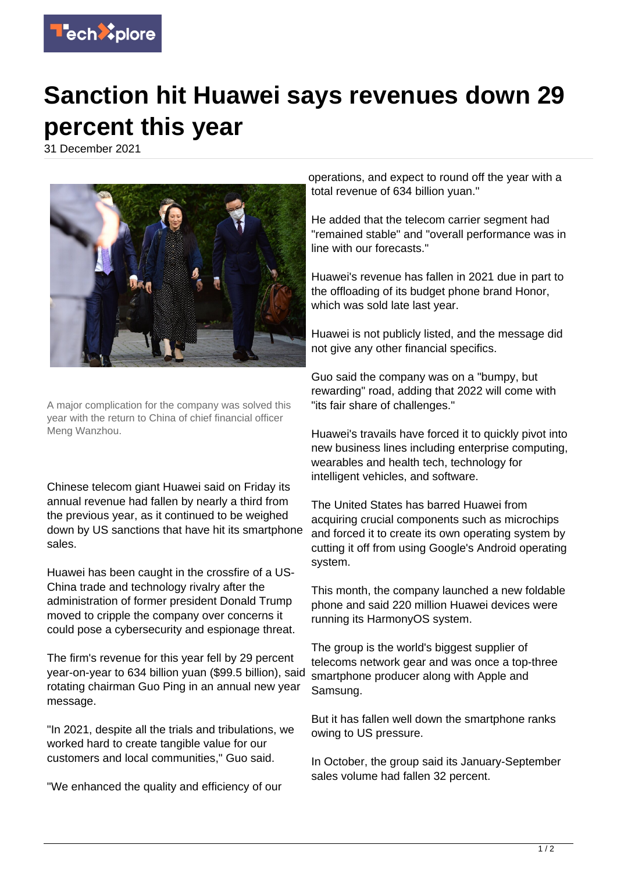

## **Sanction hit Huawei says revenues down 29 percent this year**

31 December 2021



A major complication for the company was solved this year with the return to China of chief financial officer Meng Wanzhou.

Chinese telecom giant Huawei said on Friday its annual revenue had fallen by nearly a third from the previous year, as it continued to be weighed down by US sanctions that have hit its smartphone sales.

Huawei has been caught in the crossfire of a US-China trade and technology rivalry after the administration of former president Donald Trump moved to cripple the company over concerns it could pose a cybersecurity and espionage threat.

The firm's revenue for this year fell by 29 percent year-on-year to 634 billion yuan (\$99.5 billion), said rotating chairman Guo Ping in an annual new year message.

"In 2021, despite all the trials and tribulations, we worked hard to create tangible value for our customers and local communities," Guo said.

"We enhanced the quality and efficiency of our

operations, and expect to round off the year with a total revenue of 634 billion yuan."

He added that the telecom carrier segment had "remained stable" and "overall performance was in line with our forecasts."

Huawei's revenue has fallen in 2021 due in part to the offloading of its budget phone brand Honor, which was sold late last year.

Huawei is not publicly listed, and the message did not give any other financial specifics.

Guo said the company was on a "bumpy, but rewarding" road, adding that 2022 will come with "its fair share of challenges."

Huawei's travails have forced it to quickly pivot into new business lines including enterprise computing, wearables and health tech, technology for intelligent vehicles, and software.

The United States has barred Huawei from acquiring crucial components such as microchips and forced it to create its own operating system by cutting it off from using Google's Android operating system.

This month, the company launched a new foldable phone and said 220 million Huawei devices were running its HarmonyOS system.

The group is the world's biggest supplier of telecoms network gear and was once a top-three smartphone producer along with Apple and Samsung.

But it has fallen well down the smartphone ranks owing to US pressure.

In October, the group said its January-September sales volume had fallen 32 percent.